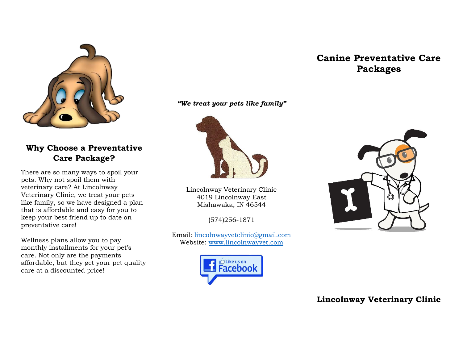

**Why Choose a Preventative Care Package?**

There are so many ways to spoil your pets. Why not spoil them with veterinary care? At Lincolnway Veterinary Clinic, we treat your pets like family, so we have designed a plan that is affordable and easy for you to keep your best friend up to date on preventative care!

Wellness plans allow you to pay monthly installments for your pet's care. Not only are the payments affordable, but they get your pet quality care at a discounted price!

*"We treat your pets like family"*



Lincolnway Veterinary Clinic 4019 Lincolnway East Mishawaka, IN 46544

(574)256-1871

Email: [lincolnwayvetclinic@gmail.com](mailto:lincolnwayvetclinic@gmail.com) Website: [www.lincolnwayvet.com](http://www.lincolnwayvet.com/)



## **Canine Preventative Care Packages**



## **Lincolnway Veterinary Clinic**